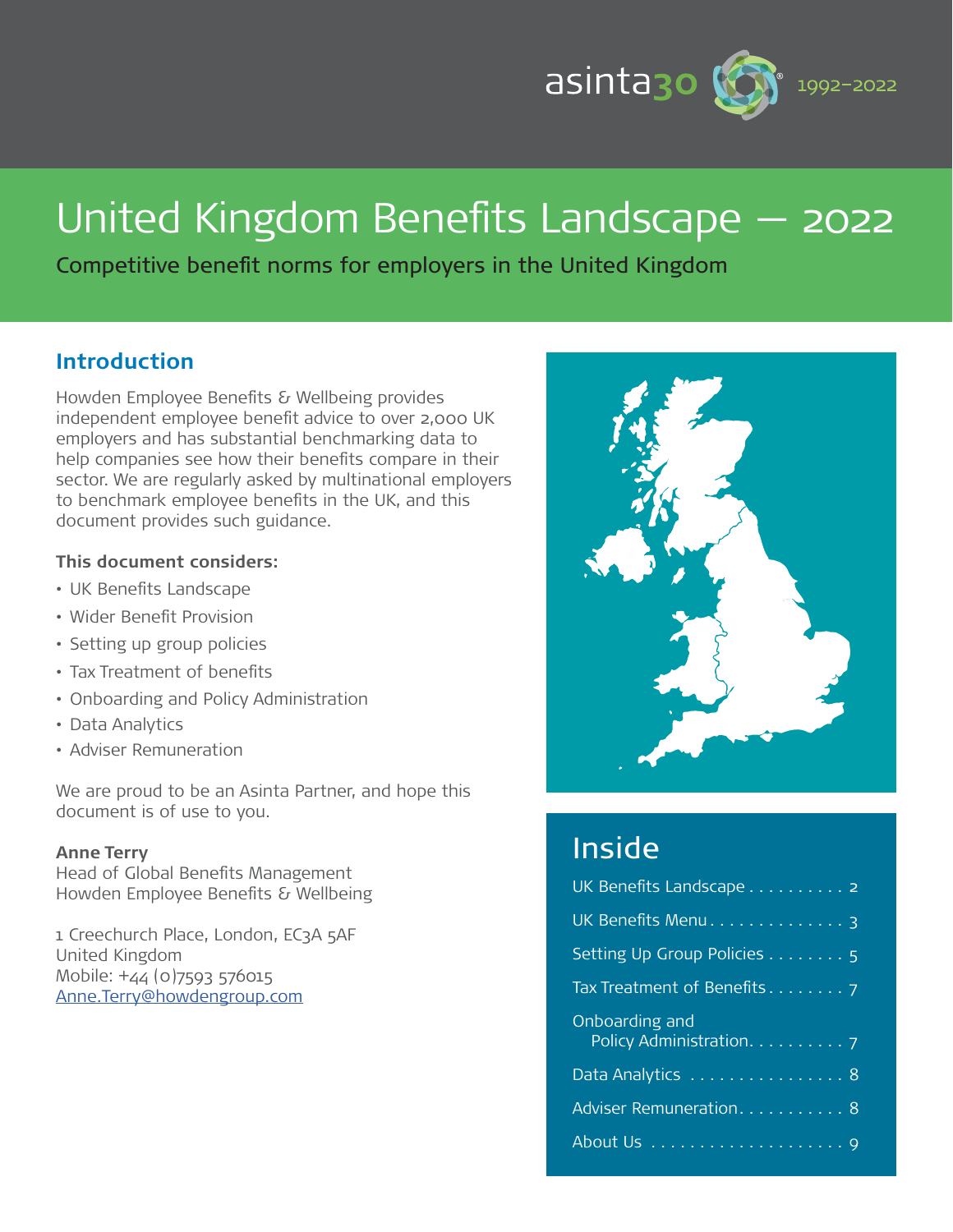

# United Kingdom Benefits Landscape — 2022

Competitive benefit norms for employers in the United Kingdom

# **Introduction**

Howden Employee Benefits & Wellbeing provides independent employee benefit advice to over 2,000 UK employers and has substantial benchmarking data to help companies see how their benefits compare in their sector. We are regularly asked by multinational employers to benchmark employee benefits in the UK, and this document provides such guidance.

#### **This document considers:**

- UK Benefits Landscape
- Wider Benefit Provision
- Setting up group policies
- Tax Treatment of benefits
- Onboarding and Policy Administration
- Data Analytics
- Adviser Remuneration

We are proud to be an Asinta Partner, and hope this document is of use to you.

#### **Anne Terry**

Head of Global Benefits Management Howden Employee Benefits & Wellbeing

1 Creechurch Place, London, EC3A 5AF United Kingdom Mobile: +44 (0)7593 576015 [Anne.Terry@howdengroup.com](mailto:Anne.Terry%40howdengroup.com?subject=)



# Inside

| UK Benefits Landscape 2                    |
|--------------------------------------------|
| UK Benefits Menu 3                         |
| Setting Up Group Policies 5                |
|                                            |
| Onboarding and<br>Policy Administration. 7 |
| Data Analytics 8                           |
| Adviser Remuneration. 8                    |
|                                            |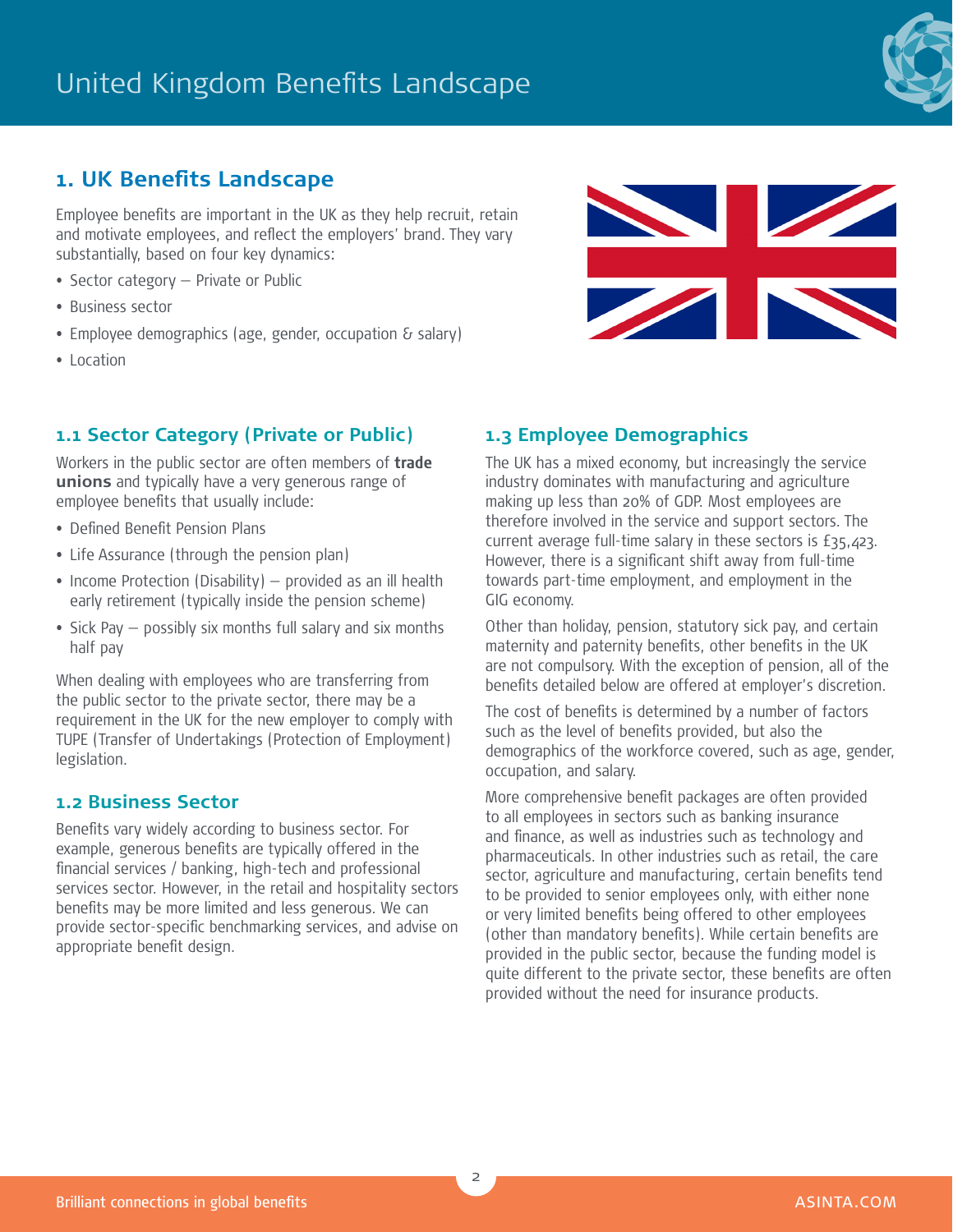

# **1. UK Benefits Landscape**

Employee benefits are important in the UK as they help recruit, retain and motivate employees, and reflect the employers' brand. They vary substantially, based on four key dynamics:

- Sector category Private or Public
- Business sector
- Employee demographics (age, gender, occupation & salary)
- Location

# **1.1 Sector Category (Private or Public)**

Workers in the public sector are often members of **trade unions** and typically have a very generous range of employee benefits that usually include:

- Defined Benefit Pension Plans
- Life Assurance (through the pension plan)
- Income Protection (Disability) provided as an ill health early retirement (typically inside the pension scheme)
- Sick Pay possibly six months full salary and six months half pay

When dealing with employees who are transferring from the public sector to the private sector, there may be a requirement in the UK for the new employer to comply with TUPE (Transfer of Undertakings (Protection of Employment) legislation.

#### **1.2 Business Sector**

Benefits vary widely according to business sector. For example, generous benefits are typically offered in the financial services / banking, high-tech and professional services sector. However, in the retail and hospitality sectors benefits may be more limited and less generous. We can provide sector-specific benchmarking services, and advise on appropriate benefit design.

# **1.3 Employee Demographics**

The UK has a mixed economy, but increasingly the service industry dominates with manufacturing and agriculture making up less than 20% of GDP. Most employees are therefore involved in the service and support sectors. The current average full-time salary in these sectors is £35,423. However, there is a significant shift away from full-time towards part-time employment, and employment in the GIG economy.

Other than holiday, pension, statutory sick pay, and certain maternity and paternity benefits, other benefits in the UK are not compulsory. With the exception of pension, all of the benefits detailed below are offered at employer's discretion.

The cost of benefits is determined by a number of factors such as the level of benefits provided, but also the demographics of the workforce covered, such as age, gender, occupation, and salary.

More comprehensive benefit packages are often provided to all employees in sectors such as banking insurance and finance, as well as industries such as technology and pharmaceuticals. In other industries such as retail, the care sector, agriculture and manufacturing, certain benefits tend to be provided to senior employees only, with either none or very limited benefits being offered to other employees (other than mandatory benefits). While certain benefits are provided in the public sector, because the funding model is quite different to the private sector, these benefits are often provided without the need for insurance products.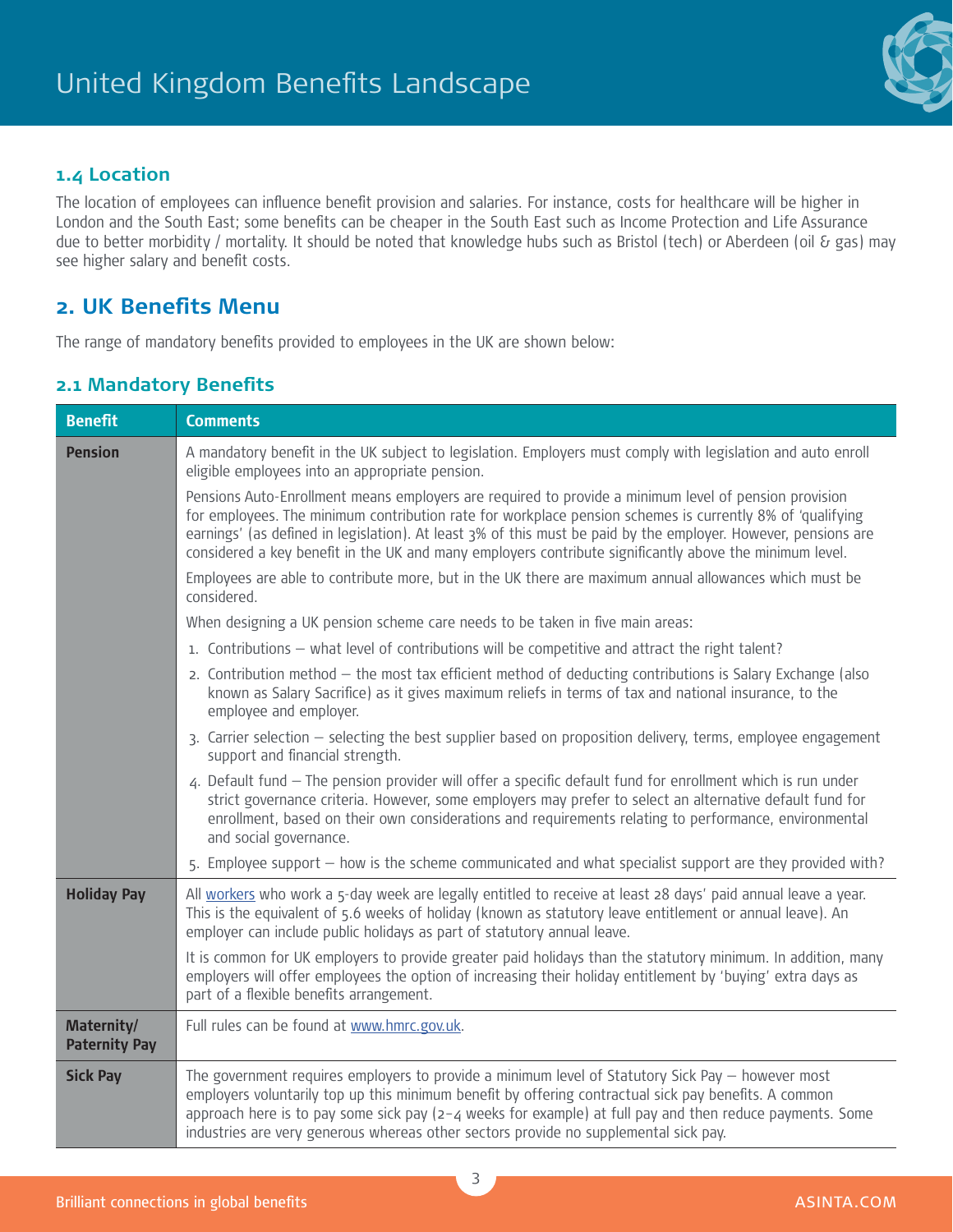

#### **1.4 Location**

The location of employees can influence benefit provision and salaries. For instance, costs for healthcare will be higher in London and the South East; some benefits can be cheaper in the South East such as Income Protection and Life Assurance due to better morbidity / mortality. It should be noted that knowledge hubs such as Bristol (tech) or Aberdeen (oil & gas) may see higher salary and benefit costs.

# **2. UK Benefits Menu**

The range of mandatory benefits provided to employees in the UK are shown below:

### **2.1 Mandatory Benefits**

| <b>Benefit</b>                     | <b>Comments</b>                                                                                                                                                                                                                                                                                                                                                                                                                                 |
|------------------------------------|-------------------------------------------------------------------------------------------------------------------------------------------------------------------------------------------------------------------------------------------------------------------------------------------------------------------------------------------------------------------------------------------------------------------------------------------------|
| <b>Pension</b>                     | A mandatory benefit in the UK subject to legislation. Employers must comply with legislation and auto enroll<br>eligible employees into an appropriate pension.                                                                                                                                                                                                                                                                                 |
|                                    | Pensions Auto-Enrollment means employers are required to provide a minimum level of pension provision<br>for employees. The minimum contribution rate for workplace pension schemes is currently 8% of 'qualifying<br>earnings' (as defined in legislation). At least 3% of this must be paid by the employer. However, pensions are<br>considered a key benefit in the UK and many employers contribute significantly above the minimum level. |
|                                    | Employees are able to contribute more, but in the UK there are maximum annual allowances which must be<br>considered.                                                                                                                                                                                                                                                                                                                           |
|                                    | When designing a UK pension scheme care needs to be taken in five main areas:                                                                                                                                                                                                                                                                                                                                                                   |
|                                    | 1. Contributions - what level of contributions will be competitive and attract the right talent?                                                                                                                                                                                                                                                                                                                                                |
|                                    | 2. Contribution method - the most tax efficient method of deducting contributions is Salary Exchange (also<br>known as Salary Sacrifice) as it gives maximum reliefs in terms of tax and national insurance, to the<br>employee and employer.                                                                                                                                                                                                   |
|                                    | 3. Carrier selection – selecting the best supplier based on proposition delivery, terms, employee engagement<br>support and financial strength.                                                                                                                                                                                                                                                                                                 |
|                                    | 4. Default fund - The pension provider will offer a specific default fund for enrollment which is run under<br>strict governance criteria. However, some employers may prefer to select an alternative default fund for<br>enrollment, based on their own considerations and requirements relating to performance, environmental<br>and social governance.                                                                                      |
|                                    | 5. Employee support - how is the scheme communicated and what specialist support are they provided with?                                                                                                                                                                                                                                                                                                                                        |
| <b>Holiday Pay</b>                 | All workers who work a 5-day week are legally entitled to receive at least 28 days' paid annual leave a year.<br>This is the equivalent of 5.6 weeks of holiday (known as statutory leave entitlement or annual leave). An<br>employer can include public holidays as part of statutory annual leave.                                                                                                                                           |
|                                    | It is common for UK employers to provide greater paid holidays than the statutory minimum. In addition, many<br>employers will offer employees the option of increasing their holiday entitlement by 'buying' extra days as<br>part of a flexible benefits arrangement.                                                                                                                                                                         |
| Maternity/<br><b>Paternity Pay</b> | Full rules can be found at www.hmrc.gov.uk.                                                                                                                                                                                                                                                                                                                                                                                                     |
| <b>Sick Pay</b>                    | The government requires employers to provide a minimum level of Statutory Sick Pay $-$ however most<br>employers voluntarily top up this minimum benefit by offering contractual sick pay benefits. A common<br>approach here is to pay some sick pay $\left(2 - 4\right)$ weeks for example) at full pay and then reduce payments. Some<br>industries are very generous whereas other sectors provide no supplemental sick pay.                |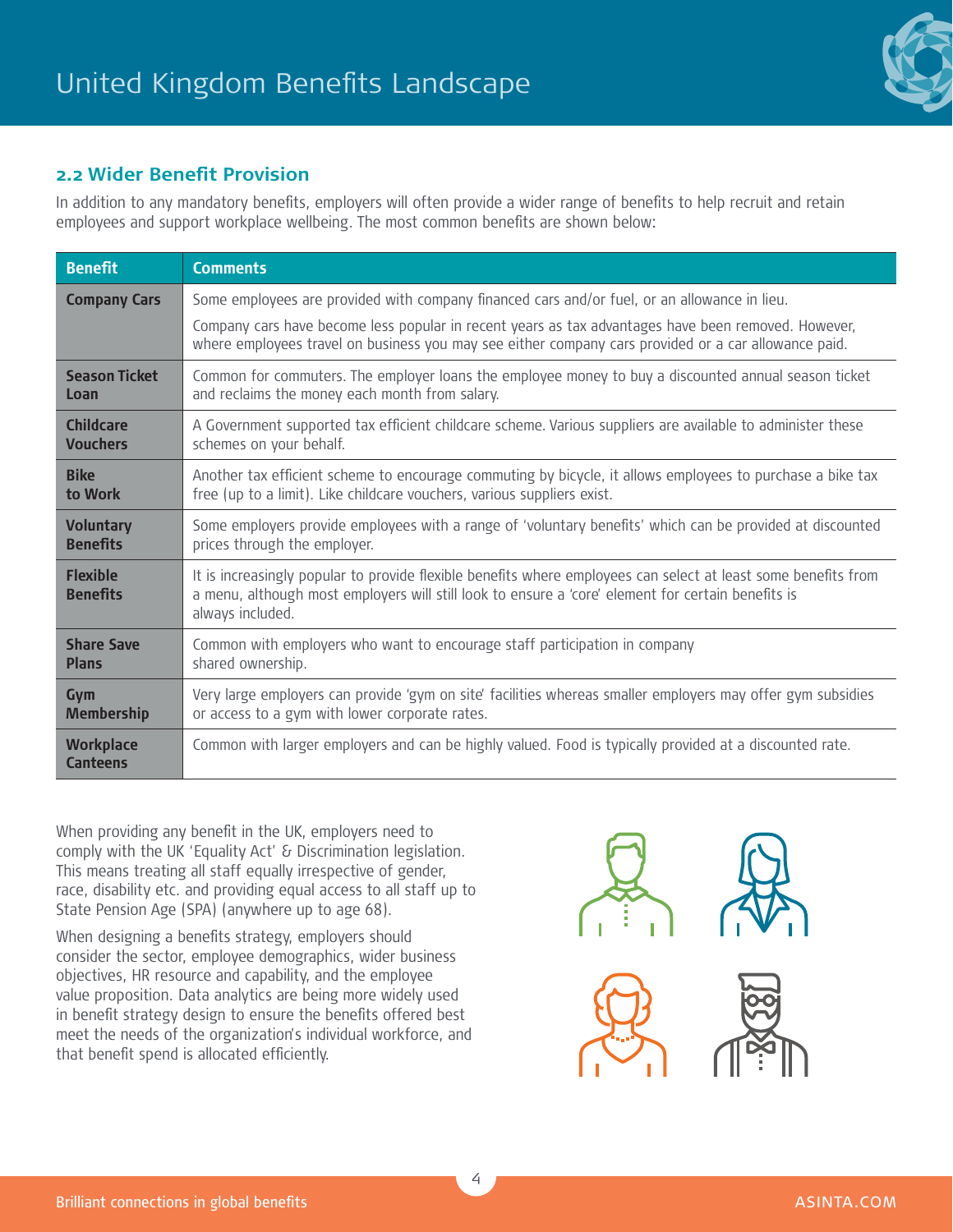

#### **2.2 Wider Benefit Provision**

In addition to any mandatory benefits, employers will often provide a wider range of benefits to help recruit and retain employees and support workplace wellbeing. The most common benefits are shown below:

| <b>Benefit</b>                      | <b>Comments</b>                                                                                                                                                                                                                                                                                             |
|-------------------------------------|-------------------------------------------------------------------------------------------------------------------------------------------------------------------------------------------------------------------------------------------------------------------------------------------------------------|
| <b>Company Cars</b>                 | Some employees are provided with company financed cars and/or fuel, or an allowance in lieu.<br>Company cars have become less popular in recent years as tax advantages have been removed. However,<br>where employees travel on business you may see either company cars provided or a car allowance paid. |
| <b>Season Ticket</b>                | Common for commuters. The employer loans the employee money to buy a discounted annual season ticket                                                                                                                                                                                                        |
| Loan                                | and reclaims the money each month from salary.                                                                                                                                                                                                                                                              |
| <b>Childcare</b>                    | A Government supported tax efficient childcare scheme. Various suppliers are available to administer these                                                                                                                                                                                                  |
| <b>Vouchers</b>                     | schemes on your behalf.                                                                                                                                                                                                                                                                                     |
| <b>Bike</b>                         | Another tax efficient scheme to encourage commuting by bicycle, it allows employees to purchase a bike tax                                                                                                                                                                                                  |
| to Work                             | free (up to a limit). Like childcare vouchers, various suppliers exist.                                                                                                                                                                                                                                     |
| <b>Voluntary</b>                    | Some employers provide employees with a range of 'voluntary benefits' which can be provided at discounted                                                                                                                                                                                                   |
| <b>Benefits</b>                     | prices through the employer.                                                                                                                                                                                                                                                                                |
| <b>Flexible</b><br><b>Benefits</b>  | It is increasingly popular to provide flexible benefits where employees can select at least some benefits from<br>a menu, although most employers will still look to ensure a 'core' element for certain benefits is<br>always included.                                                                    |
| <b>Share Save</b>                   | Common with employers who want to encourage staff participation in company                                                                                                                                                                                                                                  |
| <b>Plans</b>                        | shared ownership.                                                                                                                                                                                                                                                                                           |
| Gym                                 | Very large employers can provide 'gym on site' facilities whereas smaller employers may offer gym subsidies                                                                                                                                                                                                 |
| <b>Membership</b>                   | or access to a gym with lower corporate rates.                                                                                                                                                                                                                                                              |
| <b>Workplace</b><br><b>Canteens</b> | Common with larger employers and can be highly valued. Food is typically provided at a discounted rate.                                                                                                                                                                                                     |

When providing any benefit in the UK, employers need to comply with the UK 'Equality Act' & Discrimination legislation. This means treating all staff equally irrespective of gender, race, disability etc. and providing equal access to all staff up to State Pension Age (SPA) (anywhere up to age 68).

When designing a benefits strategy, employers should consider the sector, employee demographics, wider business objectives, HR resource and capability, and the employee value proposition. Data analytics are being more widely used in benefit strategy design to ensure the benefits offered best meet the needs of the organization's individual workforce, and that benefit spend is allocated efficiently.

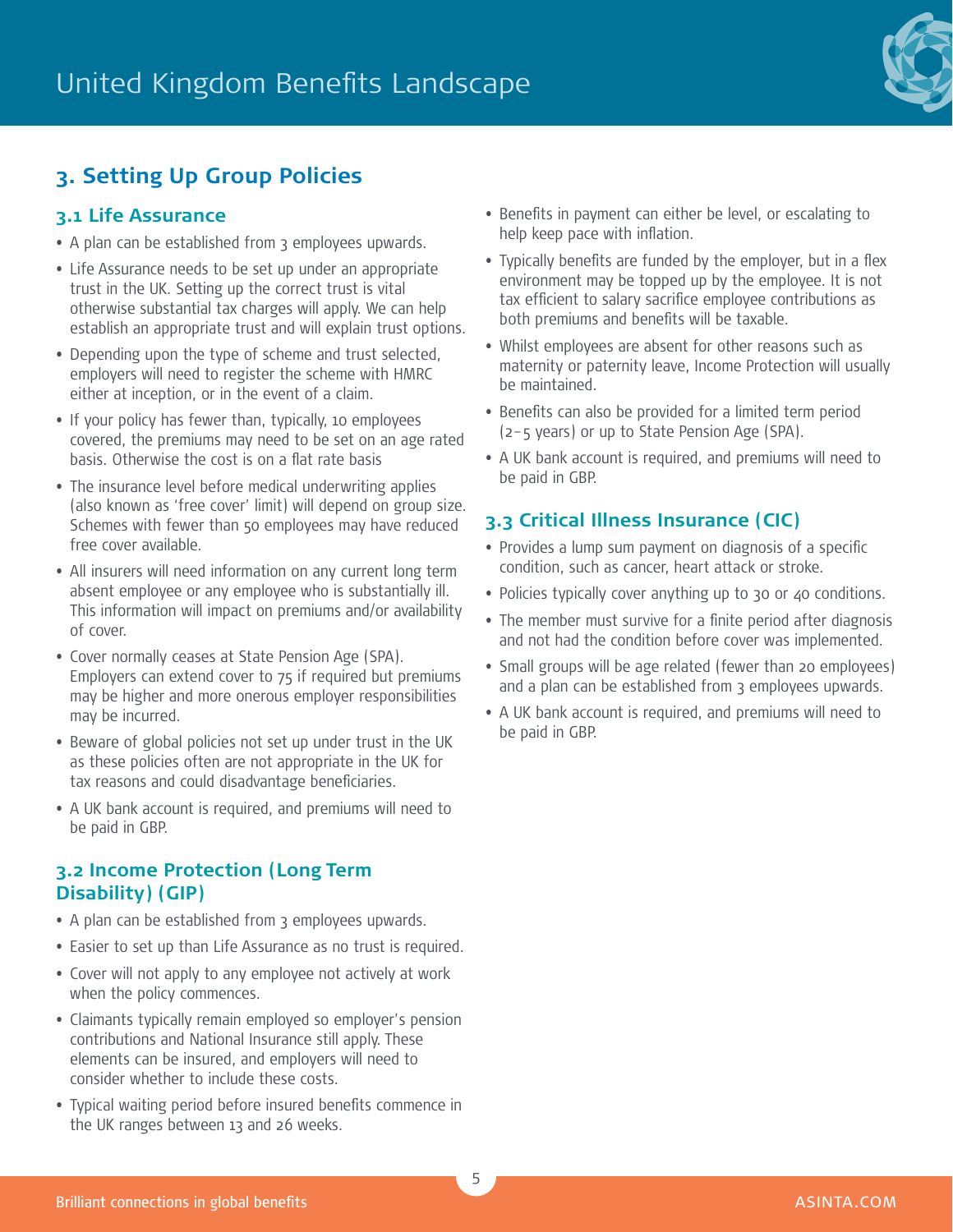

# **3. Setting Up Group Policies**

#### **3.1 Life Assurance**

- A plan can be established from 3 employees upwards.
- Life Assurance needs to be set up under an appropriate trust in the UK. Setting up the correct trust is vital otherwise substantial tax charges will apply. We can help establish an appropriate trust and will explain trust options.
- Depending upon the type of scheme and trust selected, employers will need to register the scheme with HMRC either at inception, or in the event of a claim.
- If your policy has fewer than, typically, 10 employees covered, the premiums may need to be set on an age rated basis. Otherwise the cost is on a flat rate basis
- The insurance level before medical underwriting applies (also known as 'free cover' limit) will depend on group size. Schemes with fewer than 50 employees may have reduced free cover available.
- All insurers will need information on any current long term absent employee or any employee who is substantially ill. This information will impact on premiums and/or availability of cover.
- Cover normally ceases at State Pension Age (SPA). Employers can extend cover to 75 if required but premiums may be higher and more onerous employer responsibilities may be incurred.
- Beware of global policies not set up under trust in the UK as these policies often are not appropriate in the UK for tax reasons and could disadvantage beneficiaries.
- A UK bank account is required, and premiums will need to be paid in GBP.

#### **3.2 Income Protection (Long Term Disability) (GIP)**

- A plan can be established from 3 employees upwards.
- Easier to set up than Life Assurance as no trust is required.
- Cover will not apply to any employee not actively at work when the policy commences.
- Claimants typically remain employed so employer's pension contributions and National Insurance still apply. These elements can be insured, and employers will need to consider whether to include these costs.
- Typical waiting period before insured benefits commence in the UK ranges between 13 and 26 weeks.
- Benefits in payment can either be level, or escalating to help keep pace with inflation.
- Typically benefits are funded by the employer, but in a flex environment may be topped up by the employee. It is not tax efficient to salary sacrifice employee contributions as both premiums and benefits will be taxable.
- Whilst employees are absent for other reasons such as maternity or paternity leave, Income Protection will usually be maintained.
- Benefits can also be provided for a limited term period (2–5 years) or up to State Pension Age (SPA).
- A UK bank account is required, and premiums will need to be paid in GBP.

# **3.3 Critical Illness Insurance (CIC)**

- Provides a lump sum payment on diagnosis of a specific condition, such as cancer, heart attack or stroke.
- Policies typically cover anything up to 30 or 40 conditions.
- The member must survive for a finite period after diagnosis and not had the condition before cover was implemented.
- Small groups will be age related (fewer than 20 employees) and a plan can be established from 3 employees upwards.
- A UK bank account is required, and premiums will need to be paid in GBP.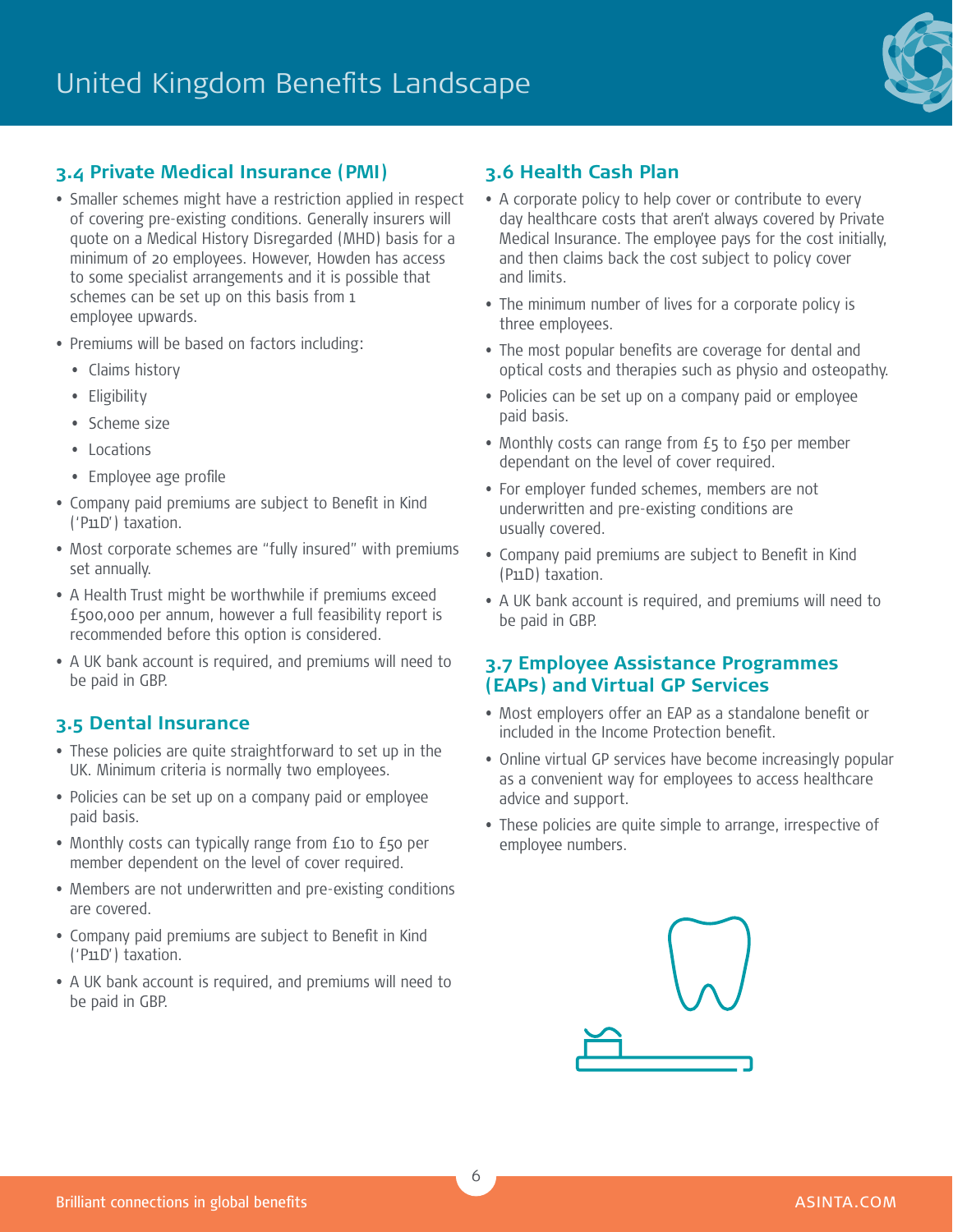

#### **3.4 Private Medical Insurance (PMI)**

- Smaller schemes might have a restriction applied in respect of covering pre-existing conditions. Generally insurers will quote on a Medical History Disregarded (MHD) basis for a minimum of 20 employees. However, Howden has access to some specialist arrangements and it is possible that schemes can be set up on this basis from 1 employee upwards.
- Premiums will be based on factors including:
	- Claims history
	- Eligibility
	- Scheme size
	- Locations
	- Employee age profile
- Company paid premiums are subject to Benefit in Kind ('P11D') taxation.
- Most corporate schemes are "fully insured" with premiums set annually.
- A Health Trust might be worthwhile if premiums exceed £500,000 per annum, however a full feasibility report is recommended before this option is considered.
- A UK bank account is required, and premiums will need to be paid in GBP.

#### **3.5 Dental Insurance**

- These policies are quite straightforward to set up in the UK. Minimum criteria is normally two employees.
- Policies can be set up on a company paid or employee paid basis.
- Monthly costs can typically range from £10 to £50 per member dependent on the level of cover required.
- Members are not underwritten and pre-existing conditions are covered.
- Company paid premiums are subject to Benefit in Kind ('P11D') taxation.
- A UK bank account is required, and premiums will need to be paid in GBP.

#### **3.6 Health Cash Plan**

- A corporate policy to help cover or contribute to every day healthcare costs that aren't always covered by Private Medical Insurance. The employee pays for the cost initially, and then claims back the cost subject to policy cover and limits.
- The minimum number of lives for a corporate policy is three employees.
- The most popular benefits are coverage for dental and optical costs and therapies such as physio and osteopathy.
- Policies can be set up on a company paid or employee paid basis.
- Monthly costs can range from £5 to £50 per member dependant on the level of cover required.
- For employer funded schemes, members are not underwritten and pre-existing conditions are usually covered.
- Company paid premiums are subject to Benefit in Kind (P11D) taxation.
- A UK bank account is required, and premiums will need to be paid in GBP.

#### **3.7 Employee Assistance Programmes (EAPs) and Virtual GP Services**

- Most employers offer an EAP as a standalone benefit or included in the Income Protection benefit.
- Online virtual GP services have become increasingly popular as a convenient way for employees to access healthcare advice and support.
- These policies are quite simple to arrange, irrespective of employee numbers.

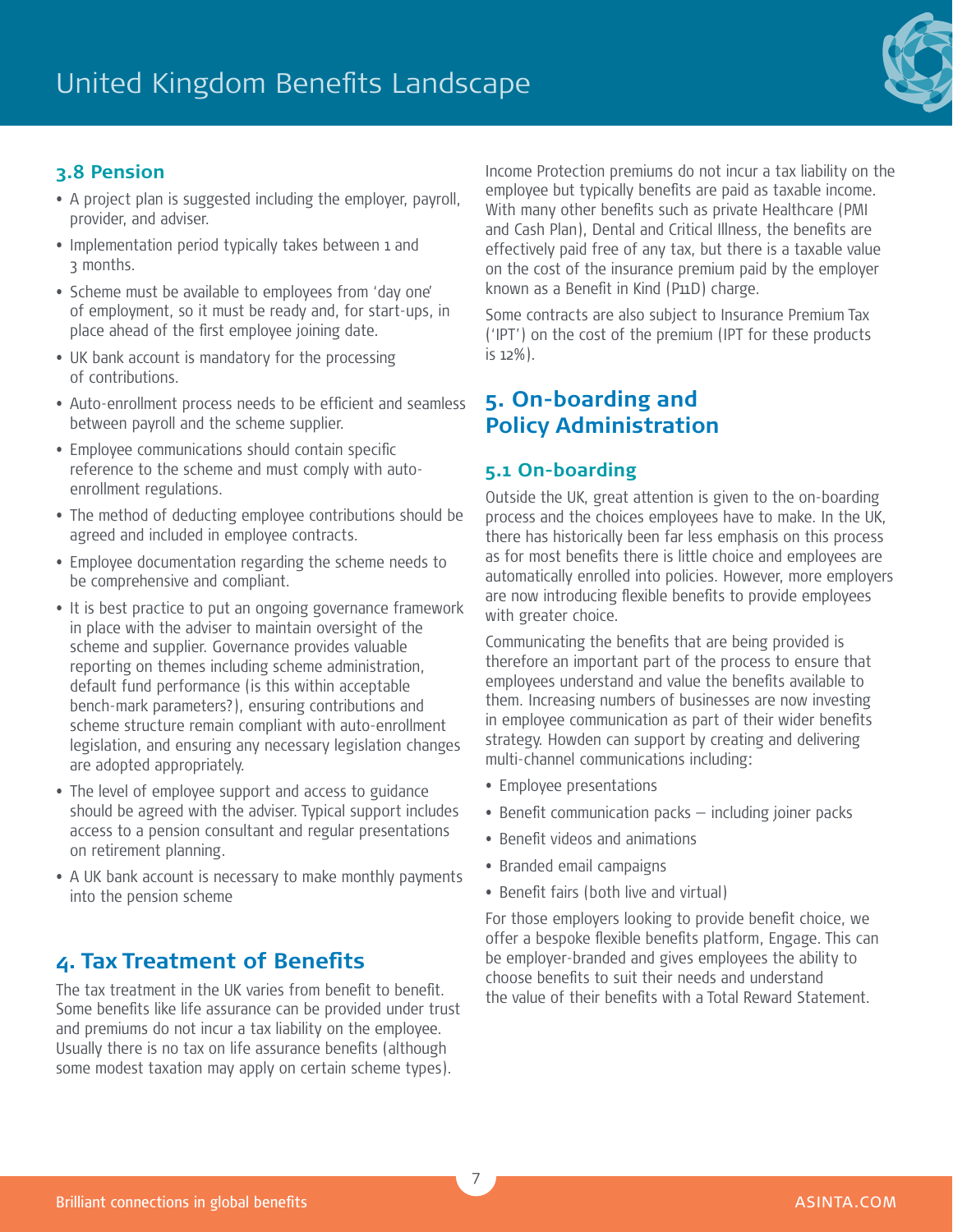

## **3.8 Pension**

- A project plan is suggested including the employer, payroll, provider, and adviser.
- Implementation period typically takes between 1 and 3 months.
- Scheme must be available to employees from 'day one' of employment, so it must be ready and, for start-ups, in place ahead of the first employee joining date.
- UK bank account is mandatory for the processing of contributions.
- Auto-enrollment process needs to be efficient and seamless between payroll and the scheme supplier.
- Employee communications should contain specific reference to the scheme and must comply with autoenrollment regulations.
- The method of deducting employee contributions should be agreed and included in employee contracts.
- Employee documentation regarding the scheme needs to be comprehensive and compliant.
- It is best practice to put an ongoing governance framework in place with the adviser to maintain oversight of the scheme and supplier. Governance provides valuable reporting on themes including scheme administration, default fund performance (is this within acceptable bench-mark parameters?), ensuring contributions and scheme structure remain compliant with auto-enrollment legislation, and ensuring any necessary legislation changes are adopted appropriately.
- The level of employee support and access to guidance should be agreed with the adviser. Typical support includes access to a pension consultant and regular presentations on retirement planning.
- A UK bank account is necessary to make monthly payments into the pension scheme

# **4. Tax Treatment of Benefits**

The tax treatment in the UK varies from benefit to benefit. Some benefits like life assurance can be provided under trust and premiums do not incur a tax liability on the employee. Usually there is no tax on life assurance benefits (although some modest taxation may apply on certain scheme types).

Income Protection premiums do not incur a tax liability on the employee but typically benefits are paid as taxable income. With many other benefits such as private Healthcare (PMI and Cash Plan), Dental and Critical Illness, the benefits are effectively paid free of any tax, but there is a taxable value on the cost of the insurance premium paid by the employer known as a Benefit in Kind (P11D) charge.

Some contracts are also subject to Insurance Premium Tax ('IPT') on the cost of the premium (IPT for these products is 12%).

# **5. On-boarding and Policy Administration**

#### **5.1 On-boarding**

Outside the UK, great attention is given to the on-boarding process and the choices employees have to make. In the UK, there has historically been far less emphasis on this process as for most benefits there is little choice and employees are automatically enrolled into policies. However, more employers are now introducing flexible benefits to provide employees with greater choice.

Communicating the benefits that are being provided is therefore an important part of the process to ensure that employees understand and value the benefits available to them. Increasing numbers of businesses are now investing in employee communication as part of their wider benefits strategy. Howden can support by creating and delivering multi-channel communications including:

- Employee presentations
- Benefit communication packs including joiner packs
- Benefit videos and animations
- Branded email campaigns
- Benefit fairs (both live and virtual)

For those employers looking to provide benefit choice, we offer a bespoke flexible benefits platform, Engage. This can be employer-branded and gives employees the ability to choose benefits to suit their needs and understand the value of their benefits with a Total Reward Statement.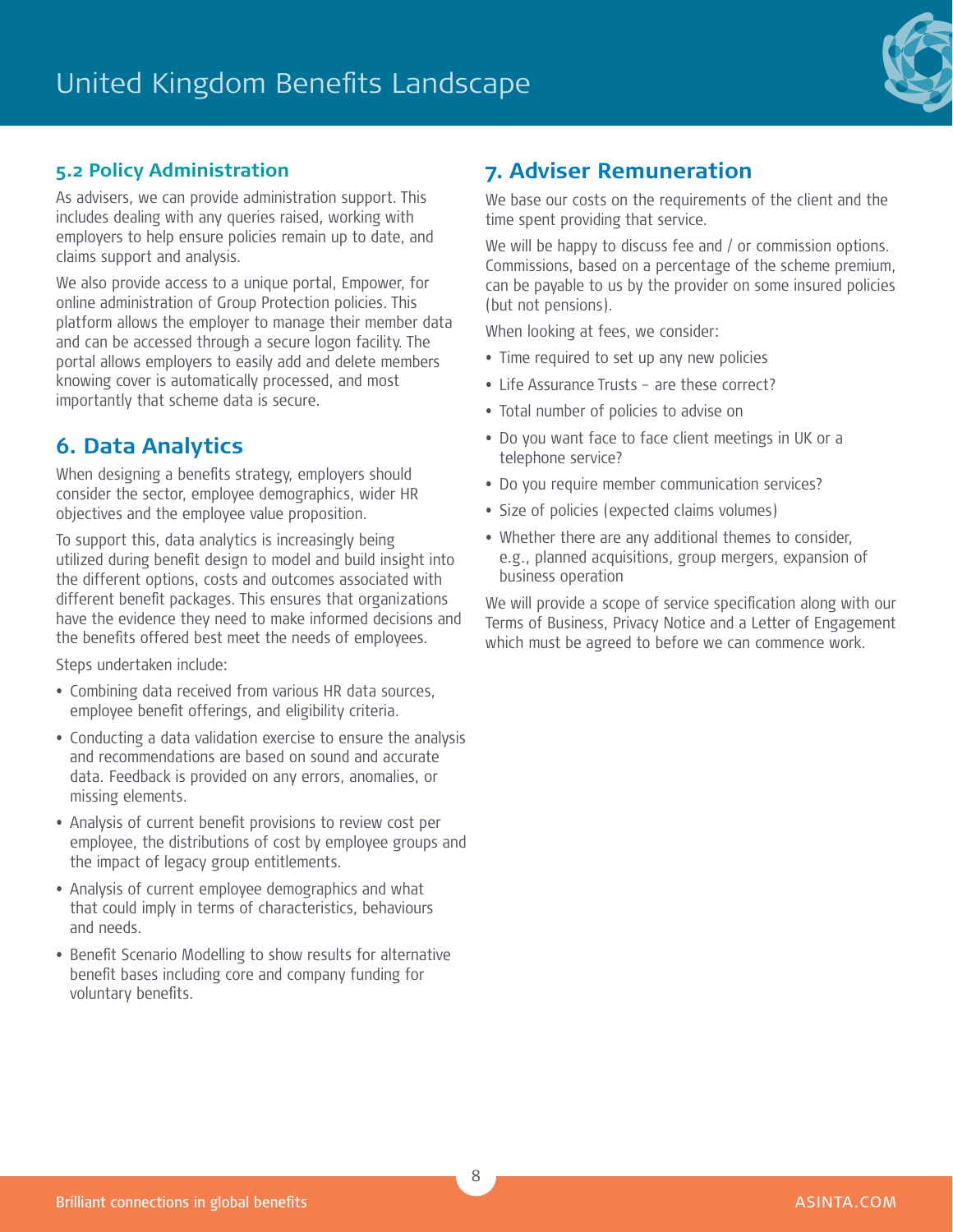

### **5.2 Policy Administration**

As advisers, we can provide administration support. This includes dealing with any queries raised, working with employers to help ensure policies remain up to date, and claims support and analysis.

We also provide access to a unique portal, Empower, for online administration of Group Protection policies. This platform allows the employer to manage their member data and can be accessed through a secure logon facility. The portal allows employers to easily add and delete members knowing cover is automatically processed, and most importantly that scheme data is secure.

# **6. Data Analytics**

When designing a benefits strategy, employers should consider the sector, employee demographics, wider HR objectives and the employee value proposition.

To support this, data analytics is increasingly being utilized during benefit design to model and build insight into the different options, costs and outcomes associated with different benefit packages. This ensures that organizations have the evidence they need to make informed decisions and the benefits offered best meet the needs of employees.

Steps undertaken include:

- Combining data received from various HR data sources, employee benefit offerings, and eligibility criteria.
- Conducting a data validation exercise to ensure the analysis and recommendations are based on sound and accurate data. Feedback is provided on any errors, anomalies, or missing elements.
- Analysis of current benefit provisions to review cost per employee, the distributions of cost by employee groups and the impact of legacy group entitlements.
- Analysis of current employee demographics and what that could imply in terms of characteristics, behaviours and needs.
- Benefit Scenario Modelling to show results for alternative benefit bases including core and company funding for voluntary benefits.

# **7. Adviser Remuneration**

We base our costs on the requirements of the client and the time spent providing that service.

We will be happy to discuss fee and / or commission options. Commissions, based on a percentage of the scheme premium, can be payable to us by the provider on some insured policies (but not pensions).

When looking at fees, we consider:

- Time required to set up any new policies
- Life Assurance Trusts are these correct?
- Total number of policies to advise on
- Do you want face to face client meetings in UK or a telephone service?
- Do you require member communication services?
- Size of policies (expected claims volumes)
- Whether there are any additional themes to consider, e.g., planned acquisitions, group mergers, expansion of business operation

We will provide a scope of service specification along with our Terms of Business, Privacy Notice and a Letter of Engagement which must be agreed to before we can commence work.